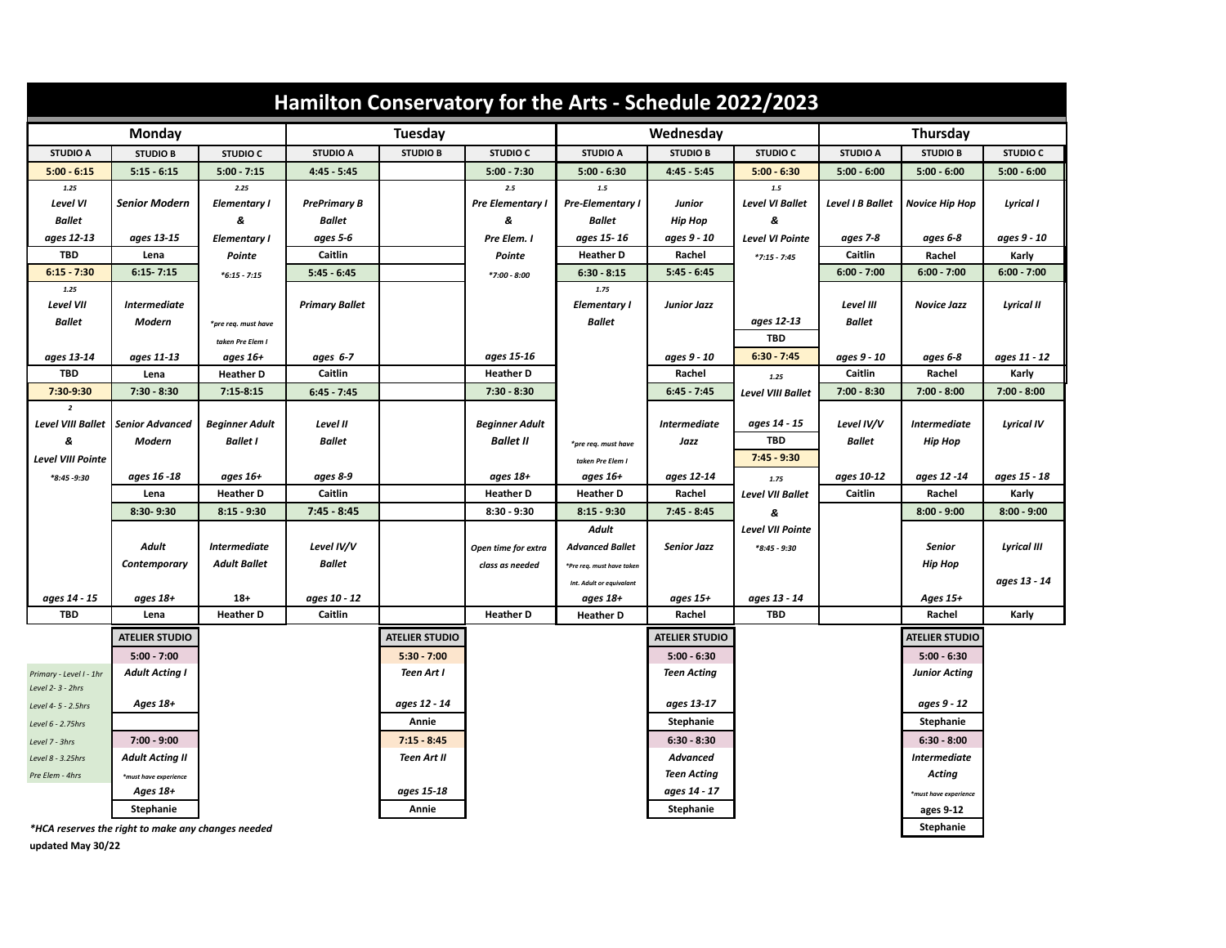| Hamilton Conservatory for the Arts - Schedule 2022/2023 |                                                    |                                   |                       |                       |                                |                           |                           |                          |                        |                         |                        |
|---------------------------------------------------------|----------------------------------------------------|-----------------------------------|-----------------------|-----------------------|--------------------------------|---------------------------|---------------------------|--------------------------|------------------------|-------------------------|------------------------|
| Monday                                                  |                                                    |                                   | <b>Tuesday</b>        |                       |                                | Wednesday                 |                           |                          | <b>Thursday</b>        |                         |                        |
| <b>STUDIO A</b>                                         | <b>STUDIO B</b>                                    | <b>STUDIO C</b>                   | <b>STUDIO A</b>       | <b>STUDIO B</b>       | <b>STUDIO C</b>                | <b>STUDIO A</b>           | <b>STUDIO B</b>           | <b>STUDIO C</b>          | <b>STUDIO A</b>        | <b>STUDIO B</b>         | <b>STUDIO C</b>        |
| $5:00 - 6:15$                                           | $5:15 - 6:15$                                      | $5:00 - 7:15$                     | $4:45 - 5:45$         |                       | $5:00 - 7:30$                  | $5:00 - 6:30$             | $4:45 - 5:45$             | $5:00 - 6:30$            | $5:00 - 6:00$          | $5:00 - 6:00$           | $5:00 - 6:00$          |
| 1.25                                                    |                                                    | 2.25                              |                       |                       | $2.5\,$                        | $1.5\,$                   |                           | $1.5\,$                  |                        |                         |                        |
| Level VI                                                | <b>Senior Modern</b>                               | <b>Elementary I</b>               | <b>PrePrimary B</b>   |                       | <b>Pre Elementary I</b>        | <b>Pre-Elementary I</b>   | Junior                    | <b>Level VI Ballet</b>   | Level I B Ballet       | <b>Novice Hip Hop</b>   | Lyrical I              |
| <b>Ballet</b>                                           |                                                    | &                                 | <b>Ballet</b>         |                       | &                              | Ballet                    | <b>Hip Hop</b>            | &                        |                        |                         |                        |
| ages 12-13                                              | ages 13-15                                         | <b>Elementary I</b>               | ages 5-6              |                       | Pre Elem. I                    | ages 15-16                | ages 9 - 10               | <b>Level VI Pointe</b>   | ages 7-8               | ages 6-8                | ages 9 - 10            |
| TBD                                                     | Lena                                               | Pointe                            | Caitlin               |                       | Pointe                         | <b>Heather D</b>          | Rachel                    | $*7:15 - 7:45$           | Caitlin                | Rachel                  | Karly                  |
| $6:15 - 7:30$                                           | $6:15 - 7:15$                                      | $*6:15 - 7:15$                    | $5:45 - 6:45$         |                       | $*7:00 - 8:00$                 | $6:30 - 8:15$             | $5:45 - 6:45$             |                          | $6:00 - 7:00$          | $6:00 - 7:00$           | $6:00 - 7:00$          |
| 1.25                                                    |                                                    |                                   |                       |                       |                                | 1.75                      |                           |                          |                        |                         |                        |
| Level VII                                               | <b>Intermediate</b>                                |                                   | <b>Primary Ballet</b> |                       |                                | <b>Elementary I</b>       | Junior Jazz               |                          | Level III              | <b>Novice Jazz</b>      | <b>Lyrical II</b>      |
| <b>Ballet</b>                                           | Modern                                             | *pre req. must have               |                       |                       |                                | <b>Ballet</b>             |                           | ages 12-13               | <b>Ballet</b>          |                         |                        |
|                                                         |                                                    | taken Pre Elem I                  |                       |                       |                                |                           |                           | <b>TBD</b>               |                        |                         |                        |
| ages 13-14<br>TBD                                       | ages 11-13                                         | ages 16+                          | ages 6-7<br>Caitlin   |                       | ages 15-16<br><b>Heather D</b> |                           | ages 9 - 10               | $6:30 - 7:45$            | ages 9 - 10<br>Caitlin | ages 6-8                | ages 11 - 12           |
| 7:30-9:30                                               | Lena<br>$7:30 - 8:30$                              | <b>Heather D</b><br>$7:15 - 8:15$ |                       |                       | $7:30 - 8:30$                  |                           | Rachel<br>$6:45 - 7:45$   | 1.25                     | $7:00 - 8:30$          | Rachel<br>$7:00 - 8:00$ | Karly<br>$7:00 - 8:00$ |
| $\overline{2}$                                          |                                                    |                                   | $6:45 - 7:45$         |                       |                                |                           |                           | <b>Level VIII Ballet</b> |                        |                         |                        |
| Level VIII Ballet                                       | <b>Senior Advanced</b>                             | <b>Beginner Adult</b>             | Level II              |                       | <b>Beginner Adult</b>          |                           | <b>Intermediate</b>       | ages 14 - 15             | Level IV/V             | <b>Intermediate</b>     | <b>Lyrical IV</b>      |
| 8                                                       | Modern                                             | <b>Ballet I</b>                   | <b>Ballet</b>         |                       | <b>Ballet II</b>               | *pre req. must have       | Jazz                      | TBD                      | <b>Ballet</b>          | <b>Hip Hop</b>          |                        |
| Level VIII Pointe                                       |                                                    |                                   |                       |                       |                                | taken Pre Elem I          |                           | $7:45 - 9:30$            |                        |                         |                        |
| $*8:45 - 9:30$                                          | ages 16 -18                                        | ages 16+                          | ages 8-9              |                       | ages 18+                       | ages 16+                  | ages 12-14                | 1.75                     | ages 10-12             | ages 12 -14             | ages 15 - 18           |
|                                                         | Lena                                               | <b>Heather D</b>                  | Caitlin               |                       | <b>Heather D</b>               | <b>Heather D</b>          | Rachel                    | <b>Level VII Ballet</b>  | Caitlin                | Rachel                  | Karly                  |
|                                                         | 8:30-9:30                                          | $8:15 - 9:30$                     | $7:45 - 8:45$         |                       | $8:30 - 9:30$                  | $8:15 - 9:30$             | $7:45 - 8:45$             | 8                        |                        | $8:00 - 9:00$           | $8:00 - 9:00$          |
|                                                         |                                                    |                                   |                       |                       |                                | <b>Adult</b>              |                           | <b>Level VII Pointe</b>  |                        |                         |                        |
|                                                         | Adult                                              | <b>Intermediate</b>               | Level IV/V            |                       | Open time for extra            | <b>Advanced Ballet</b>    | <b>Senior Jazz</b>        | *8:45 - 9:30             |                        | Senior                  | Lyrical III            |
|                                                         | Contemporary                                       | <b>Adult Ballet</b>               | <b>Ballet</b>         |                       | class as needed                | *Pre req. must have taken |                           |                          |                        | <b>Hip Hop</b>          |                        |
|                                                         |                                                    |                                   |                       |                       |                                | Int. Adult or equivalant  |                           |                          |                        |                         | ages 13 - 14           |
| ages 14 - 15                                            | ages 18+                                           | $18+$                             | ages 10 - 12          |                       |                                | ages 18+                  | ages 15+                  | ages 13 - 14             |                        | Ages 15+                |                        |
| <b>TBD</b>                                              | Lena                                               | <b>Heather D</b>                  | Caitlin               |                       | <b>Heather D</b>               | <b>Heather D</b>          | Rachel                    | <b>TBD</b>               |                        | Rachel                  | Karly                  |
|                                                         | <b>ATELIER STUDIO</b>                              |                                   |                       | <b>ATELIER STUDIO</b> |                                |                           | <b>ATELIER STUDIO</b>     |                          |                        | <b>ATELIER STUDIO</b>   |                        |
|                                                         | $5:00 - 7:00$                                      |                                   |                       | $5:30 - 7:00$         |                                |                           | $5:00 - 6:30$             |                          |                        | $5:00 - 6:30$           |                        |
| Primary - Level I - 1hr                                 | <b>Adult Acting I</b>                              |                                   |                       | Teen Art I            |                                |                           | <b>Teen Acting</b>        |                          |                        | <b>Junior Acting</b>    |                        |
| Level 2-3 - 2hrs                                        |                                                    |                                   |                       |                       |                                |                           |                           |                          |                        |                         |                        |
| Level 4-5 - 2.5hrs                                      | Ages 18+                                           |                                   |                       | ages 12 - 14          |                                |                           | ages 13-17                |                          |                        | ages 9 - 12             |                        |
| Level 6 - 2.75hrs                                       |                                                    |                                   |                       | Annie                 |                                |                           | Stephanie                 |                          |                        | Stephanie               |                        |
| Level 7 - 3hrs                                          | $7:00 - 9:00$                                      |                                   |                       | $7:15 - 8:45$         |                                |                           | $6:30 - 8:30$             |                          |                        | $6:30 - 8:00$           |                        |
| Level 8 - 3.25hrs                                       | Adult Acting II                                    |                                   |                       | <b>Teen Art II</b>    |                                |                           | Advanced                  |                          |                        | <b>Intermediate</b>     |                        |
| Pre Elem - 4hrs                                         | *must have experience                              |                                   |                       |                       |                                |                           | <b>Teen Acting</b>        |                          |                        | Acting                  |                        |
|                                                         | Ages 18+<br>Stephanie                              |                                   |                       | ages 15-18<br>Annie   |                                |                           | ages 14 - 17<br>Stephanie |                          |                        | *must have experience   |                        |
|                                                         |                                                    |                                   |                       |                       |                                |                           |                           |                          |                        | ages 9-12<br>Stephanie  |                        |
|                                                         | *HCA reserves the right to make any changes needed |                                   |                       |                       |                                |                           |                           |                          |                        |                         |                        |

**updated May 30/22**